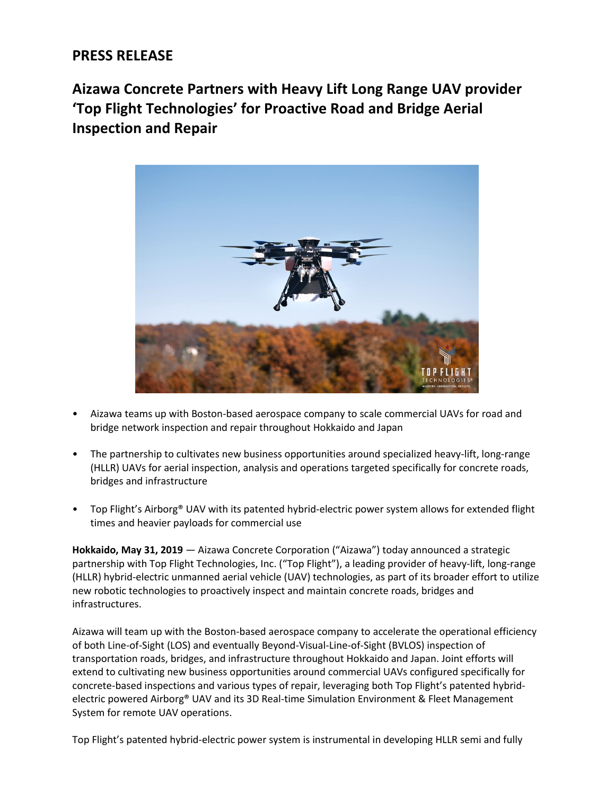## **PRESS RELEASE**

**Aizawa Concrete Partners with Heavy Lift Long Range UAV provider 'Top Flight Technologies' for Proactive Road and Bridge Aerial Inspection and Repair**



- Aizawa teams up with Boston-based aerospace company to scale commercial UAVs for road and bridge network inspection and repair throughout Hokkaido and Japan
- The partnership to cultivates new business opportunities around specialized heavy-lift, long-range (HLLR) UAVs for aerial inspection, analysis and operations targeted specifically for concrete roads, bridges and infrastructure
- Top Flight's Airborg® UAV with its patented hybrid-electric power system allows for extended flight times and heavier payloads for commercial use

**Hokkaido, May 31, 2019** ― Aizawa Concrete Corporation ("Aizawa") today announced a strategic partnership with Top Flight Technologies, Inc. ("Top Flight"), a leading provider of heavy-lift, long-range (HLLR) hybrid-electric unmanned aerial vehicle (UAV) technologies, as part of its broader effort to utilize new robotic technologies to proactively inspect and maintain concrete roads, bridges and infrastructures.

Aizawa will team up with the Boston-based aerospace company to accelerate the operational efficiency of both Line-of-Sight (LOS) and eventually Beyond-Visual-Line-of-Sight (BVLOS) inspection of transportation roads, bridges, and infrastructure throughout Hokkaido and Japan. Joint efforts will extend to cultivating new business opportunities around commercial UAVs configured specifically for concrete-based inspections and various types of repair, leveraging both Top Flight's patented hybridelectric powered Airborg® UAV and its 3D Real-time Simulation Environment & Fleet Management System for remote UAV operations.

Top Flight's patented hybrid-electric power system is instrumental in developing HLLR semi and fully